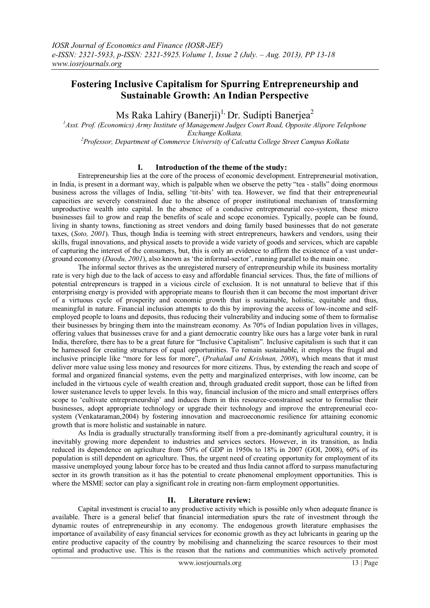# **Fostering Inclusive Capitalism for Spurring Entrepreneurship and Sustainable Growth: An Indian Perspective**

# Ms Raka Lahiry (Banerji)<sup>1,</sup> Dr. Sudipti Banerjea<sup>2</sup>

*<sup>1</sup>Asst. Prof. (Economics) Army Institute of Management Judges Court Road, Opposite Alipore Telephone Exchange Kolkata. <sup>2</sup>Professor, Department of Commerce University of Calcutta College Street Campus Kolkata*

## **I. Introduction of the theme of the study:**

Entrepreneurship lies at the core of the process of economic development. Entrepreneurial motivation, in India, is present in a dormant way, which is palpable when we observe the petty "tea - stalls" doing enormous business across the villages of India, selling "tit-bits" with tea. However, we find that their entrepreneurial capacities are severely constrained due to the absence of proper institutional mechanism of transforming unproductive wealth into capital. In the absence of a conducive entrepreneurial eco-system, these micro businesses fail to grow and reap the benefits of scale and scope economies. Typically, people can be found, living in shanty towns, functioning as street vendors and doing family based businesses that do not generate taxes, (*Soto, 2001*). Thus, though India is teeming with street entrepreneurs, hawkers and vendors, using their skills, frugal innovations, and physical assets to provide a wide variety of goods and services, which are capable of capturing the interest of the consumers, but, this is only an evidence to affirm the existence of a vast underground economy (*Daodu, 2001*), also known as 'the informal-sector', running parallel to the main one.

The informal sector thrives as the unregistered nursery of entrepreneurship while its business mortality rate is very high due to the lack of access to easy and affordable financial services. Thus, the fate of millions of potential entrepreneurs is trapped in a vicious circle of exclusion. It is not unnatural to believe that if this enterprising energy is provided with appropriate means to flourish then it can become the most important driver of a virtuous cycle of prosperity and economic growth that is sustainable, holistic, equitable and thus, meaningful in nature. Financial inclusion attempts to do this by improving the access of low-income and selfemployed people to loans and deposits, thus reducing their vulnerability and inducing some of them to formalise their businesses by bringing them into the mainstream economy. As 70% of Indian population lives in villages, offering values that businesses crave for and a giant democratic country like ours has a large voter bank in rural India, therefore, there has to be a great future for "Inclusive Capitalism". Inclusive capitalism is such that it can be harnessed for creating structures of equal opportunities. To remain sustainable, it employs the frugal and inclusive principle like "more for less for more", (*Prahalad and Krishnan, 2008*), which means that it must deliver more value using less money and resources for more citizens. Thus, by extending the reach and scope of formal and organized financial systems, even the petty and marginalized enterprises, with low income, can be included in the virtuous cycle of wealth creation and, through graduated credit support, those can be lifted from lower sustenance levels to upper levels. In this way, financial inclusion of the micro and small enterprises offers scope to "cultivate entrepreneurship" and induces them in this resource-constrained sector to formalise their businesses, adopt appropriate technology or upgrade their technology and improve the entrepreneurial ecosystem (Venkataraman,2004) by fostering innovation and macroeconomic resilience for attaining economic growth that is more holistic and sustainable in nature.

As India is gradually structurally transforming itself from a pre-dominantly agricultural country, it is inevitably growing more dependent to industries and services sectors. However, in its transition, as India reduced its dependence on agriculture from 50% of GDP in 1950s to 18% in 2007 (GOI, 2008), 60% of its population is still dependent on agriculture. Thus, the urgent need of creating opportunity for employment of its massive unemployed young labour force has to be created and thus India cannot afford to surpass manufacturing sector in its growth transition as it has the potential to create phenomenal employment opportunities. This is where the MSME sector can play a significant role in creating non-farm employment opportunities.

## **II. Literature review:**

Capital investment is crucial to any productive activity which is possible only when adequate finance is available. There is a general belief that financial intermediation spurs the rate of investment through the dynamic routes of entrepreneurship in any economy. The endogenous growth literature emphasises the importance of availability of easy financial services for economic growth as they act lubricants in gearing up the entire productive capacity of the country by mobilising and channelizing the scarce resources to their most optimal and productive use. This is the reason that the nations and communities which actively promoted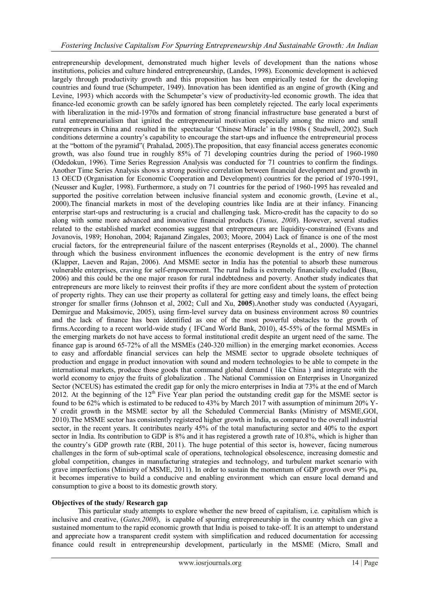entrepreneurship development, demonstrated much higher levels of development than the nations whose institutions, policies and culture hindered entrepreneurship, (Landes, 1998). Economic development is achieved largely through productivity growth and this proposition has been empirically tested for the developing countries and found true (Schumpeter, 1949). Innovation has been identified as an engine of growth (King and Levine, 1993) which accords with the Schumpeter's view of productivity-led economic growth. The idea that finance-led economic growth can be safely ignored has been completely rejected. The early local experiments with liberalization in the mid-1970s and formation of strong financial infrastructure base generated a burst of rural entrepreneurialism that ignited the entrepreneurial motivation especially among the micro and small entrepreneurs in China and resulted in the spectacular "Chinese Miracle" in the 1980s ( Studwell, 2002). Such conditions determine a country's capability to encourage the start-ups and influence the entrepreneurial process at the "bottom of the pyramid"( Prahalad, 2005).The proposition, that easy financial access generates economic growth, was also found true in roughly 85% of 71 developing countries during the period of 1960-1980 (Odedokun, 1996). Time Series Regression Analysis was conducted for 71 countries to confirm the findings. Another Time Series Analysis shows a strong positive correlation between financial development and growth in 13 OECD (Organisation for Economic Cooperation and Development) countries for the period of 1970-1991, (Neusser and Kugler, 1998). Furthermore, a study on 71 countries for the period of 1960-1995 has revealed and supported the positive correlation between inclusive financial system and economic growth, (Levine et al., 2000).The financial markets in most of the developing countries like India are at their infancy. Financing enterprise start-ups and restructuring is a crucial and challenging task. Micro-credit has the capacity to do so along with some more advanced and innovative financial products (*Yunus, 2008*). However, several studies related to the established market economies suggest that entrepreneurs are liquidity-constrained (Evans and Jovanovis, 1989; Honohan, 2004; Rajanand Zingales, 2003; Moore, 2004) Lack of finance is one of the most crucial factors, for the entrepreneurial failure of the nascent enterprises (Reynolds et al., 2000). The channel through which the business environment influences the economic development is the entry of new firms (Klapper, Laeven and Rajan, 2006). And MSME sector in India has the potential to absorb these numerous vulnerable enterprises, craving for self-empowerment. The rural India is extremely financially excluded (Basu, 2006) and this could be the one major reason for rural indebtedness and poverty. Another study indicates that entrepreneurs are more likely to reinvest their profits if they are more confident about the system of protection of property rights. They can use their property as collateral for getting easy and timely loans, the effect being stronger for smaller firms (Johnson et al, 2002; Cull and Xu, **2005**).Another study was conducted (Ayyagari, Demirgue and Maksimovic, 2005), using firm-level survey data on business environment across 80 countries and the lack of finance has been identified as one of the most powerful obstacles to the growth of firms.According to a recent world-wide study ( IFCand World Bank, 2010), 45-55% of the formal MSMEs in the emerging markets do not have access to formal institutional credit despite an urgent need of the same. The finance gap is around 65-72% of all the MSMEs (240-320 million) in the emerging market economies. Access to easy and affordable financial services can help the MSME sector to upgrade obsolete techniques of production and engage in product innovation with sound and modern technologies to be able to compete in the international markets, produce those goods that command global demand ( like China ) and integrate with the world economy to enjoy the fruits of globalization . The National Commission on Enterprises in Unorganized Sector (NCEUS) has estimated the credit gap for only the micro enterprises in India at 73% at the end of March 2012. At the beginning of the  $12<sup>th</sup>$  Five Year plan period the outstanding credit gap for the MSME sector is found to be 62% which is estimated to be reduced to 43% by March 2017 with assumption of minimum 20% Y-Y credit growth in the MSME sector by all the Scheduled Commercial Banks (Ministry of MSME,GOI, 2010).The MSME sector has consistently registered higher growth in India, as compared to the overall industrial sector, in the recent years. It contributes nearly 45% of the total manufacturing sector and 40% to the export sector in India. Its contribution to GDP is 8% and it has registered a growth rate of 10.8%, which is higher than the country"s GDP growth rate (RBI, 2011). The huge potential of this sector is, however, facing numerous challenges in the form of sub-optimal scale of operations, technological obsolescence, increasing domestic and global competition, changes in manufacturing strategies and technology, and turbulent market scenario with grave imperfections (Ministry of MSME, 2011). In order to sustain the momentum of GDP growth over 9% pa, it becomes imperative to build a conducive and enabling environment which can ensure local demand and consumption to give a boost to its domestic growth story.

## **Objectives of the study/ Research gap**

This particular study attempts to explore whether the new breed of capitalism, i.e. capitalism which is inclusive and creative, (*Gates,2008*), is capable of spurring entrepreneurship in the country which can give a sustained momentum to the rapid economic growth that India is poised to take-off. It is an attempt to understand and appreciate how a transparent credit system with simplification and reduced documentation for accessing finance could result in entrepreneurship development, particularly in the MSME (Micro, Small and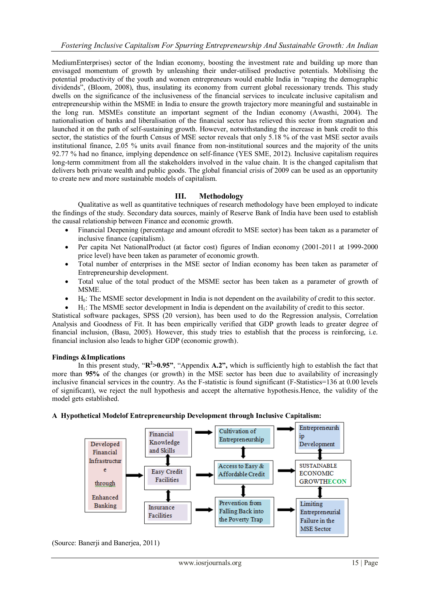MediumEnterprises) sector of the Indian economy, boosting the investment rate and building up more than envisaged momentum of growth by unleashing their under-utilised productive potentials. Mobilising the potential productivity of the youth and women entrepreneurs would enable India in "reaping the demographic dividends", (Bloom, 2008), thus, insulating its economy from current global recessionary trends. This study dwells on the significance of the inclusiveness of the financial services to inculcate inclusive capitalism and entrepreneurship within the MSME in India to ensure the growth trajectory more meaningful and sustainable in the long run. MSMEs constitute an important segment of the Indian economy (Awasthi, 2004). The nationalisation of banks and liberalisation of the financial sector has relieved this sector from stagnation and launched it on the path of self-sustaining growth. However, notwithstanding the increase in bank credit to this sector, the statistics of the fourth Census of MSE sector reveals that only 5.18 % of the vast MSE sector avails institutional finance, 2.05 % units avail finance from non-institutional sources and the majority of the units 92.77 % had no finance, implying dependence on self-finance (YES SME, 2012). Inclusive capitalism requires long-term commitment from all the stakeholders involved in the value chain. It is the changed capitalism that delivers both private wealth and public goods. The global financial crisis of 2009 can be used as an opportunity to create new and more sustainable models of capitalism.

## **III. Methodology**

Qualitative as well as quantitative techniques of research methodology have been employed to indicate the findings of the study. Secondary data sources, mainly of Reserve Bank of India have been used to establish the causal relationship between Finance and economic growth.

- Financial Deepening (percentage and amount ofcredit to MSE sector) has been taken as a parameter of inclusive finance (capitalism).
- Per capita Net NationalProduct (at factor cost) figures of Indian economy (2001-2011 at 1999-2000 price level) have been taken as parameter of economic growth.
- Total number of enterprises in the MSE sector of Indian economy has been taken as parameter of Entrepreneurship development.
- Total value of the total product of the MSME sector has been taken as a parameter of growth of **MSME**
- $\bullet$  H<sub>0</sub>: The MSME sector development in India is not dependent on the availability of credit to this sector.
- H1: The MSME sector development in India is dependent on the availability of credit to this sector.

Statistical software packages, SPSS (20 version), has been used to do the Regression analysis, Correlation Analysis and Goodness of Fit. It has been empirically verified that GDP growth leads to greater degree of financial inclusion, (Basu, 2005). However, this study tries to establish that the process is reinforcing, i.e. financial inclusion also leads to higher GDP (economic growth).

#### **Findings &Implications**

In this present study, " $\mathbb{R}^2 > 0.95$ ", "Appendix A.2", which is sufficiently high to establish the fact that more than **95%** of the changes (or growth) in the MSE sector has been due to availability of increasingly inclusive financial services in the country. As the F-statistic is found significant (F-Statistics=136 at 0.00 levels of significant), we reject the null hypothesis and accept the alternative hypothesis.Hence, the validity of the model gets established.

## **A Hypothetical Modelof Entrepreneurship Development through Inclusive Capitalism:**



(Source: Banerji and Banerjea, 2011)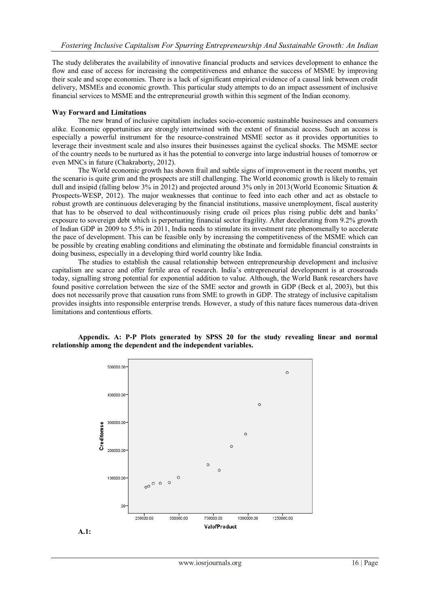The study deliberates the availability of innovative financial products and services development to enhance the flow and ease of access for increasing the competitiveness and enhance the success of MSME by improving their scale and scope economies. There is a lack of significant empirical evidence of a causal link between credit delivery, MSMEs and economic growth. This particular study attempts to do an impact assessment of inclusive financial services to MSME and the entrepreneurial growth within this segment of the Indian economy.

#### **Way Forward and Limitations**

The new brand of inclusive capitalism includes socio-economic sustainable businesses and consumers alike. Economic opportunities are strongly intertwined with the extent of financial access. Such an access is especially a powerful instrument for the resource-constrained MSME sector as it provides opportunities to leverage their investment scale and also insures their businesses against the cyclical shocks. The MSME sector of the country needs to be nurtured as it has the potential to converge into large industrial houses of tomorrow or even MNCs in future (Chakraborty, 2012).

The World economic growth has shown frail and subtle signs of improvement in the recent months, yet the scenario is quite grim and the prospects are still challenging. The World economic growth is likely to remain dull and insipid (falling below 3% in 2012) and projected around 3% only in 2013 (World Economic Situation & Prospects-WESP, 2012). The major weaknesses that continue to feed into each other and act as obstacle to robust growth are continuous deleveraging by the financial institutions, massive unemployment, fiscal austerity that has to be observed to deal withcontinuously rising crude oil prices plus rising public debt and banks" exposure to sovereign debt which is perpetuating financial sector fragility. After decelerating from 9.2% growth of Indian GDP in 2009 to 5.5% in 2011, India needs to stimulate its investment rate phenomenally to accelerate the pace of development. This can be feasible only by increasing the competitiveness of the MSME which can be possible by creating enabling conditions and eliminating the obstinate and formidable financial constraints in doing business, especially in a developing third world country like India.

The studies to establish the causal relationship between entrepreneurship development and inclusive capitalism are scarce and offer fertile area of research. India"s entrepreneurial development is at crossroads today, signalling strong potential for exponential addition to value. Although, the World Bank researchers have found positive correlation between the size of the SME sector and growth in GDP (Beck et al, 2003), but this does not necessarily prove that causation runs from SME to growth in GDP. The strategy of inclusive capitalism provides insights into responsible enterprise trends. However, a study of this nature faces numerous data-driven limitations and contentious efforts.



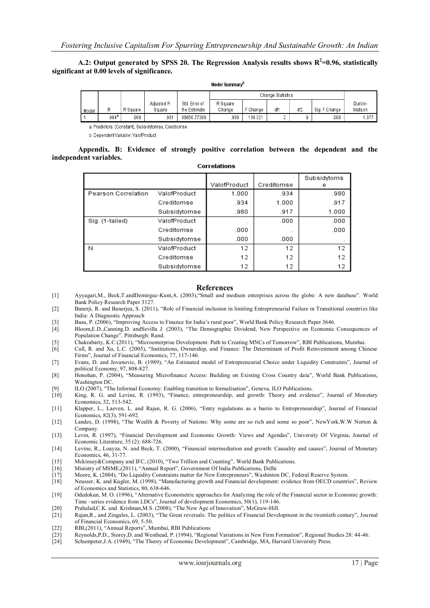#### **A.2: Output generated by SPSS 20. The Regression Analysis results shows R 2 =0.96, statistically significant at 0.00 levels of significance.**

| Model Summary <sup>D</sup> |       |          |            |               |                   |          |     |                 |               |         |  |  |
|----------------------------|-------|----------|------------|---------------|-------------------|----------|-----|-----------------|---------------|---------|--|--|
|                            |       |          |            |               | Change Statistics |          |     |                 |               |         |  |  |
|                            |       |          | Adjusted R | Std. Error of | R Square          |          |     |                 |               | Durbin- |  |  |
| Model                      | R     | R Square | Square     | the Estimate  | Change            | F Change | df1 | df <sub>2</sub> | Sig. F Change | Watson  |  |  |
|                            | .984ª | 968.     | .961       | 68656.77388   | .968              | 36.321   |     |                 | .000          | .377    |  |  |

a. Predictors: (Constant), Subsidytomse, Creditomse

b. Dependent Variable: ValofProduct

**Appendix. B: Evidence of strongly positive correlation between the dependent and the independent variables.** Correlations

|                     |              |              |            | Subsidytoms |
|---------------------|--------------|--------------|------------|-------------|
|                     |              | ValofProduct | Creditomse | е           |
| Pearson Correlation | ValofProduct | 1.000        | .934       | .980        |
|                     | Creditomse   | .934         | 1.000      | .917        |
|                     | Subsidytomse | .980         | .917       | 1.000       |
| Sig. (1-tailed)     | ValofProduct |              | .000       | .000        |
|                     | Creditomse   | .000         | ٠          | .000        |
|                     | Subsidytomse | .000         | .000       |             |
| N                   | ValofProduct | 12           | 12         | 12          |
|                     | Creditomse   | 12           | 12         | 12          |
|                     | Subsidytomse | 12           | 12         | 12          |

#### **References**

- [1] Ayyagari,M., Beck,T.andDemirguc-Kunt,A. (2003),"Small and medium enterprises across the globe: A new database"*.* World Bank Policy Research Paper 3127.
- [2] Banerji, R. and Banerjea, S. (2011), "Role of Financial inclusion in limiting Entrepreneurial Failure in Transitional countries like India: A Diagnostic Approach
- [3] Basu, P. (2006), "Improving Access to Finance for India's rural poor", World Bank Policy Research Paper 3646.<br>[4] Bloom, E.D., Canning D. and Sevilla J. (2003), "The Demographic Dividend, New Perspective on Economic
- [4] Bloom,E.D.,Canning.D. andSevilla J. (2003), "The Demographic Dividend, New Perspective on Economic Consequences of Population Change"*,* Pittsburgh: Rand.
- [5] Chakrabarty, K.C.(2011), "Microenterprise Development: Path to Creating MNCs of Tomorrow", RBI Publications, Mumbai.
- [6] Cull, R. and Xu, L.C. (2005), "Institutions, Ownership, and Finance: The Determinant of Profit Reinvestment among Chinese
- Firms", Journal of Financial Economics, 77, 117-146. [7] Evans, D. and Jovanovic, B. (1989), "An Estimated model of Entrepreneurial Choice under Liquidity Constraints", Journal of political Economy, 97, 808-827.
- [8] Honohan, P. (2004), "Measuring Microfinance Access: Building on Existing Cross Country data", World Bank Publications, Washington DC.
- [9] ILO (2007), "The Informal Economy: Enabling transition to formalisation", Geneva, ILO Publications.
- [10] King, R. G. and Levine, R. (1993), "Finance, entrepreneurship, and growth: Theory and evidence", Journal of Monetary Economics, 32, 513-542.
- [11] Klapper, L., Laeven, L. and Rajan, R. G. (2006), "Entry regulations as a barrio to Entrepreneurship", Journal of Financial Economics, 82(3), 591-692.
- [12] Landes, D. (1998), "The Wealth & Poverty of Nations: Why some are so rich and some so poor", NewYork,W.W Norton & Company.
- [13] Levin, R. (1997), "Financial Development and Economic Growth: Views and Agendas", University Of Virginia, Journal of Economic Literature, 35 (2): 688-726.
- [14] Levine, R., Loayza, N. and Beck, T. (2000), "Financial intermediation and growth: Causality and causes", Journal of Monetary Economics, 46, 31-77.
- [15] Mckinsey&Company and IFC, (2010), "Two Trillion and Counting"*,* World Bank Publications.
- [16] Ministry of MSME,(2011), "Annual Report", Government Of India Publications, Delhi
- [17] Moore, K. (2004), "Do Liquidity Constraints matter for New Entrepreneurs", Washinton DC, Federal Reserve System.
- [18] Neusser, K. and Kugler, M. (1998), "Manufacturing growth and Financial development: evidence from OECD countries", Review of Economics and Statistics, 80, 638-646.
- [19] Odedokun, M. O. (1996), "Alternative Econometric approaches for Analyzing the role of the Financial sector in Economic growth: Time –series evidence from LDCs", Journal of development Economics, 50(1), 119-146.
- [20] Prahalad, C.K. and Krishnan, M.S. (2008), "The New Age of Innovation", McGraw-Hill.
- [21] Rajan,R., and Zingales, L. (2003), "The Great reversals: The politics of Financial Development in the twentieth century", Journal of Financial Economics, 69, 5-50.
- [22] RBI,(2011), "Annual Reports", Mumbai, RBI Publications
- [23] Reynolds,P.D., Storey,D. and Westhead, P. (1994), "Regional Variations in New Firm Formation", Regional Studies 28: 44-46.
- Schumpeter,J.A. (1949), "The Theory of Economic Development", Cambridge, MA, Harvard University Press.